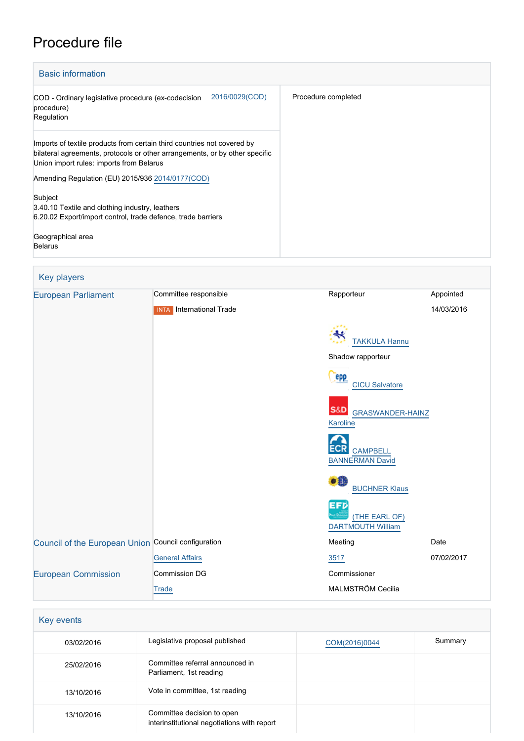# Procedure file



| <b>Key players</b>                                  |                                 |                                                       |            |
|-----------------------------------------------------|---------------------------------|-------------------------------------------------------|------------|
| <b>European Parliament</b>                          | Committee responsible           | Rapporteur                                            | Appointed  |
|                                                     | <b>INTA</b> International Trade |                                                       | 14/03/2016 |
|                                                     |                                 | <b>TAKKULA Hannu</b>                                  |            |
|                                                     |                                 | Shadow rapporteur                                     |            |
|                                                     |                                 | <b>epp</b><br><b>CICU Salvatore</b>                   |            |
|                                                     |                                 | <b>S&amp;D</b><br><b>GRASWANDER-HAINZ</b><br>Karoline |            |
|                                                     |                                 | <b>CAMPBELL</b><br><b>BANNERMAN David</b>             |            |
|                                                     |                                 | $\bullet$<br><b>BUCHNER Klaus</b>                     |            |
|                                                     |                                 | EFD<br>(THE EARL OF)<br><b>DARTMOUTH William</b>      |            |
| Council of the European Union Council configuration |                                 | Meeting                                               | Date       |
|                                                     | <b>General Affairs</b>          | 3517                                                  | 07/02/2017 |
| <b>European Commission</b>                          | Commission DG                   | Commissioner                                          |            |
|                                                     | Trade                           | MALMSTRÖM Cecilia                                     |            |

#### Key events

| 03/02/2016 | Legislative proposal published                                            | COM(2016)0044 | Summary |
|------------|---------------------------------------------------------------------------|---------------|---------|
| 25/02/2016 | Committee referral announced in<br>Parliament, 1st reading                |               |         |
| 13/10/2016 | Vote in committee, 1st reading                                            |               |         |
| 13/10/2016 | Committee decision to open<br>interinstitutional negotiations with report |               |         |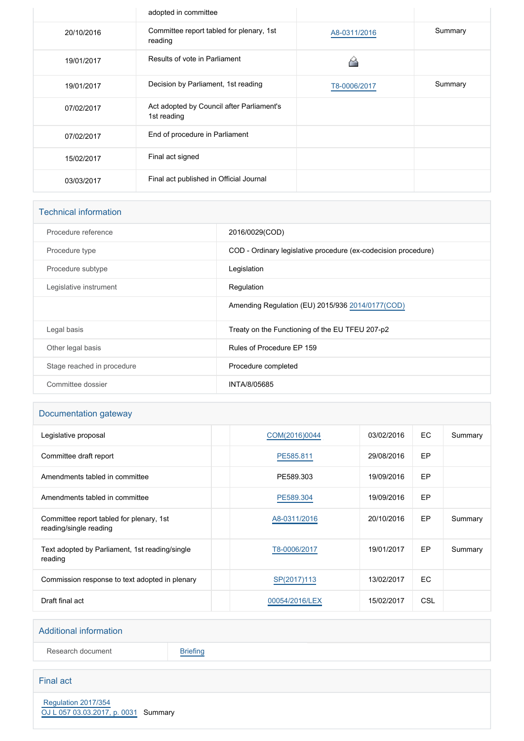|            | adopted in committee                                     |              |         |
|------------|----------------------------------------------------------|--------------|---------|
| 20/10/2016 | Committee report tabled for plenary, 1st<br>reading      | A8-0311/2016 | Summary |
| 19/01/2017 | Results of vote in Parliament                            |              |         |
| 19/01/2017 | Decision by Parliament, 1st reading                      | T8-0006/2017 | Summary |
| 07/02/2017 | Act adopted by Council after Parliament's<br>1st reading |              |         |
| 07/02/2017 | End of procedure in Parliament                           |              |         |
| 15/02/2017 | Final act signed                                         |              |         |
| 03/03/2017 | Final act published in Official Journal                  |              |         |

| <b>Technical information</b> |                                                                |
|------------------------------|----------------------------------------------------------------|
| Procedure reference          | 2016/0029(COD)                                                 |
| Procedure type               | COD - Ordinary legislative procedure (ex-codecision procedure) |
| Procedure subtype            | Legislation                                                    |
| Legislative instrument       | Regulation                                                     |
|                              | Amending Regulation (EU) 2015/936 2014/0177(COD)               |
| Legal basis                  | Treaty on the Functioning of the EU TFEU 207-p2                |
| Other legal basis            | Rules of Procedure EP 159                                      |
| Stage reached in procedure   | Procedure completed                                            |
| Committee dossier            | INTA/8/05685                                                   |

## Documentation gateway

| Legislative proposal                                               | COM(2016)0044  | 03/02/2016 | EC.       | Summary |
|--------------------------------------------------------------------|----------------|------------|-----------|---------|
| Committee draft report                                             | PE585.811      | 29/08/2016 | EP        |         |
| Amendments tabled in committee                                     | PE589.303      | 19/09/2016 | EP        |         |
| Amendments tabled in committee                                     | PE589.304      | 19/09/2016 | EP        |         |
| Committee report tabled for plenary, 1st<br>reading/single reading | A8-0311/2016   | 20/10/2016 | EP        | Summary |
| Text adopted by Parliament, 1st reading/single<br>reading          | T8-0006/2017   | 19/01/2017 | EP        | Summary |
| Commission response to text adopted in plenary                     | SP(2017)113    | 13/02/2017 | <b>EC</b> |         |
| Draft final act                                                    | 00054/2016/LEX | 15/02/2017 | CSL       |         |

### Additional information

Research document [Briefing](http://www.europarl.europa.eu/thinktank/en/document.html?reference=EPRS_BRI(2016)586617)

## Final act

 [Regulation 2017/354](https://eur-lex.europa.eu/smartapi/cgi/sga_doc?smartapi!celexplus!prod!CELEXnumdoc&lg=EN&numdoc=32017R0354) [OJ L 057 03.03.2017, p. 0031](https://eur-lex.europa.eu/legal-content/EN/TXT/?uri=OJ:L:2017:057:TOC) Summary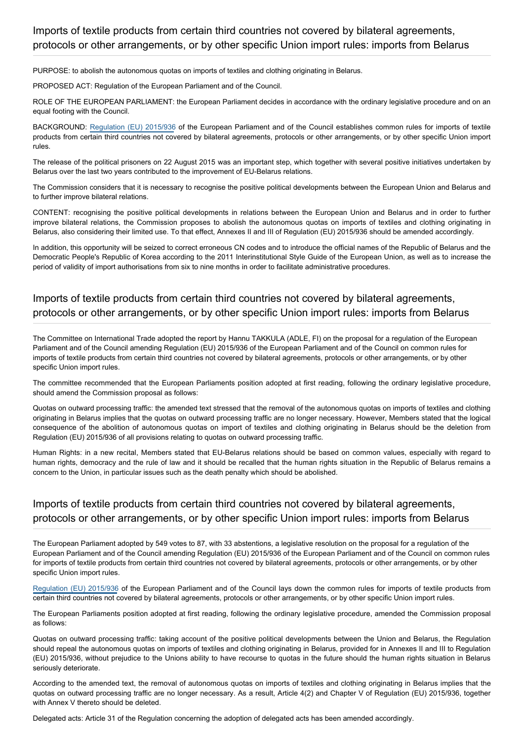PURPOSE: to abolish the autonomous quotas on imports of textiles and clothing originating in Belarus.

PROPOSED ACT: Regulation of the European Parliament and of the Council.

ROLE OF THE EUROPEAN PARLIAMENT: the European Parliament decides in accordance with the ordinary legislative procedure and on an equal footing with the Council.

BACKGROUND: [Regulation \(EU\) 2015/936](http://www.europarl.europa.eu/oeil/popups/ficheprocedure.do?reference=2014/0177(COD)&l=en) of the European Parliament and of the Council establishes common rules for imports of textile products from certain third countries not covered by bilateral agreements, protocols or other arrangements, or by other specific Union import rules.

The release of the political prisoners on 22 August 2015 was an important step, which together with several positive initiatives undertaken by Belarus over the last two years contributed to the improvement of EU-Belarus relations.

The Commission considers that it is necessary to recognise the positive political developments between the European Union and Belarus and to further improve bilateral relations.

CONTENT: recognising the positive political developments in relations between the European Union and Belarus and in order to further improve bilateral relations, the Commission proposes to abolish the autonomous quotas on imports of textiles and clothing originating in Belarus, also considering their limited use. To that effect, Annexes II and III of Regulation (EU) 2015/936 should be amended accordingly.

In addition, this opportunity will be seized to correct erroneous CN codes and to introduce the official names of the Republic of Belarus and the Democratic People's Republic of Korea according to the 2011 Interinstitutional Style Guide of the European Union, as well as to increase the period of validity of import authorisations from six to nine months in order to facilitate administrative procedures.

## Imports of textile products from certain third countries not covered by bilateral agreements, protocols or other arrangements, or by other specific Union import rules: imports from Belarus

The Committee on International Trade adopted the report by Hannu TAKKULA (ADLE, FI) on the proposal for a regulation of the European Parliament and of the Council amending Regulation (EU) 2015/936 of the European Parliament and of the Council on common rules for imports of textile products from certain third countries not covered by bilateral agreements, protocols or other arrangements, or by other specific Union import rules.

The committee recommended that the European Parliaments position adopted at first reading, following the ordinary legislative procedure, should amend the Commission proposal as follows:

Quotas on outward processing traffic: the amended text stressed that the removal of the autonomous quotas on imports of textiles and clothing originating in Belarus implies that the quotas on outward processing traffic are no longer necessary. However, Members stated that the logical consequence of the abolition of autonomous quotas on import of textiles and clothing originating in Belarus should be the deletion from Regulation (EU) 2015/936 of all provisions relating to quotas on outward processing traffic.

Human Rights: in a new recital, Members stated that EU-Belarus relations should be based on common values, especially with regard to human rights, democracy and the rule of law and it should be recalled that the human rights situation in the Republic of Belarus remains a concern to the Union, in particular issues such as the death penalty which should be abolished.

# Imports of textile products from certain third countries not covered by bilateral agreements, protocols or other arrangements, or by other specific Union import rules: imports from Belarus

The European Parliament adopted by 549 votes to 87, with 33 abstentions, a legislative resolution on the proposal for a regulation of the European Parliament and of the Council amending Regulation (EU) 2015/936 of the European Parliament and of the Council on common rules for imports of textile products from certain third countries not covered by bilateral agreements, protocols or other arrangements, or by other specific Union import rules.

[Regulation \(EU\) 2015/936](http://eur-lex.europa.eu/legal-content/EN/TXT/PDF/?uri=CELEX:32015R0936&from=EN) of the European Parliament and of the Council lays down the common rules for imports of textile products from certain third countries not covered by bilateral agreements, protocols or other arrangements, or by other specific Union import rules.

The European Parliaments position adopted at first reading, following the ordinary legislative procedure, amended the Commission proposal as follows:

Quotas on outward processing traffic: taking account of the positive political developments between the Union and Belarus, the Regulation should repeal the autonomous quotas on imports of textiles and clothing originating in Belarus, provided for in Annexes II and III to Regulation (EU) 2015/936, without prejudice to the Unions ability to have recourse to quotas in the future should the human rights situation in Belarus seriously deteriorate.

According to the amended text, the removal of autonomous quotas on imports of textiles and clothing originating in Belarus implies that the quotas on outward processing traffic are no longer necessary. As a result, Article 4(2) and Chapter V of Regulation (EU) 2015/936, together with Annex V thereto should be deleted.

Delegated acts: Article 31 of the Regulation concerning the adoption of delegated acts has been amended accordingly.